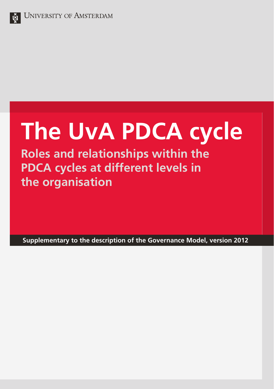

# **The UvA PDCA cycle**

**Roles and relationships within the PDCA cycles at different levels in the organisation**

**Supplementary to the description of the Governance Model, version 2012**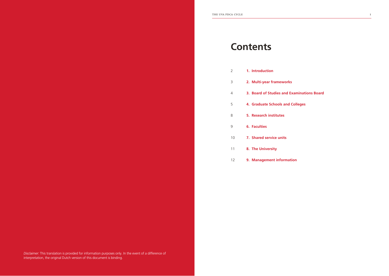| 2  | 1. Introduction                            |
|----|--------------------------------------------|
| 3  | 2. Multi-year frameworks                   |
| 4  | 3. Board of Studies and Examinations Board |
| 5  | 4. Graduate Schools and Colleges           |
| 8  | 5. Research institutes                     |
| 9  | <b>6. Faculties</b>                        |
| 10 | 7. Shared service units                    |
| 11 | 8. The University                          |
| 12 | 9. Management information                  |

*Disclaimer:* This translation is provided for information purposes only. In the event of a difference of interpretation, the original Dutch version of this document is binding.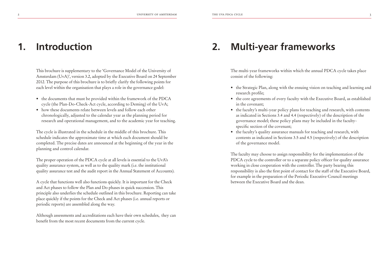#### **Introduction 2. 1.**

#### This brochure is supplementary to the 'Governance Model of the University of Amsterdam (UvA)', version 3.2, adopted by the Executive Board on 24 September 2012. The purpose of this brochure is to briefly clarify the following points for each level within the organisation that plays a role in the governance godel:

- the documents that must be provided within the framework of the PDCA cycle (the Plan-Do-Check-Act cycle, according to Deming) of the UvA;
- how these documents relate between levels and follow each other chronologically, adjusted to the calendar year as the planning period for research and operational management, and to the academic year for teaching.

The cycle is illustrated in the schedule in the middle of this brochure. This schedule indicates the approximate time at which each document should be completed. The precise dates are announced at the beginning of the year in the planning and control calendar.

The proper operation of the PDCA cycle at all levels is essential to the UvA's quality assurance system, as well as to the quality mark (i.e. the institutional quality assurance test and the audit report in the Annual Statement of Accounts).

A cycle that functions well also functions quickly. It is important for the Check and Act phases to follow the Plan and Do phases in quick succession. This principle also underlies the schedule outlined in this brochure. Reporting can take place quickly if the points for the Check and Act phases (i.e. annual reports or periodic reports) are assembled along the way.

Although assessments and accreditations each have their own schedules, they can benefit from the most recent documents from the current cycle.

### **Multi-year frameworks**

The multi-year frameworks within which the annual PDCA cycle takes place consist of the following:

- the Strategic Plan, along with the ensuing vision on teaching and learning and research profile;
- the core agreements of every faculty with the Executive Board, as established in the covenant;
- the faculty's multi-year policy plans for teaching and research, with contents as indicated in Sections 3.4 and 4.4 (respectively) of the description of the governance model; these policy plans may be included in the facultyspecific section of the covenant;
- the faculty's quality assurance manuals for teaching and research, with contents as indicated in Sections 3.5 and 4.5 (respectively) of the description of the governance model.

The faculty may choose to assign responsibility for the implementation of the PDCA cycle to the controller or to a separate policy officer for quality assurance working in close cooperation with the controller. The party bearing this responsibility is also the first point of contact for the staff of the Executive Board, for example in the preparation of the Periodic Executive Council meetings between the Executive Board and the dean.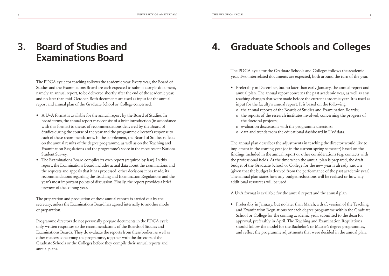### **Board of Studies and 4. Examinations Board 3.**

The PDCA cycle for teaching follows the academic year. Every year, the Board of Studies and the Examinations Board are each expected to submit a single document, namely an annual report, to be delivered shortly after the end of the academic year, and no later than mid-October. Both documents are used as input for the annual report and annual plan of the Graduate School or College concerned.

- A UvA format is available for the annual report by the Board of Studies. In broad terms, the annual report may consist of a brief introduction (in accordance with this format) to the set of recommendations delivered by the Board of Studies during the course of the year and the programme director's response to each of these recommendations. In the supplement, the Board of Studies reflects on the annual results of the degree programme, as well as on the Teaching and Examination Regulations and the programme's score in the most recent National Student Survey.
- The Examinations Board compiles its own report (required by law). In this report, the Examinations Board includes actual data about the examinations and the requests and appeals that it has processed, other decisions it has made, its recommendations regarding the Teaching and Examination Regulations and the year's most important points of discussion. Finally, the report provides a brief preview of the coming year.

The preparation and production of these annual reports is carried out by the secretary, unless the Examinations Board has agreed internally to another mode of preparation.

Programme directors do not personally prepare documents in the PDCA cycle, only written responses to the recommendations of the Boards of Studies and Examinations Boards. They do evaluate the reports from these bodies, as well as other matters concerning the programme, together with the directors of the Graduate Schools or the Colleges before they compile their annual reports and annual plans.

### **Graduate Schools and Colleges**

The PDCA cycle for the Graduate Schools and Colleges follows the academic year. Two interrelated documents are expected, both around the turn of the year.

- Preferably in December, but no later than early January, the annual report and annual plan. The annual report concerns the past academic year, as well as any teaching changes that were made before the current academic year. It is used as input for the faculty's annual report. It is based on the following:
	- o the annual reports of the Boards of Studies and Examination Boards;
	- o the reports of the research institutes involved, concerning the progress of the doctoral projects;
	- o evaluation discussions with the programme directors;
	- o data and trends from the educational dashboard in UvAdata.

The annual plan describes the adjustments in teaching the director would like to implement in the coming year (or in the current spring semester) based on the findings included in the annual report or other considerations (e.g. contacts with the professional field). At the time when the annual plan is prepared, the draft budget of the Graduate School or College for the new year is already known (given that the budget is derived from the performance of the past academic year). The annual plan states how any budget reductions will be realised or how any additional resources will be used.

A UvA format is available for the annual report and the annual plan.

• Preferably in January, but no later than March, a draft version of the Teaching and Examination Regulations for each degree programme within the Graduate School or College for the coming academic year, submitted to the dean for approval, preferably in April. The Teaching and Examination Regulations should follow the model for the Bachelor's or Master's degree programmes, and reflect the programme adjustments that were decided in the annual plan.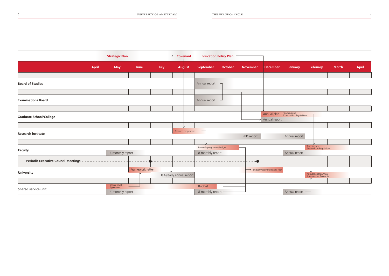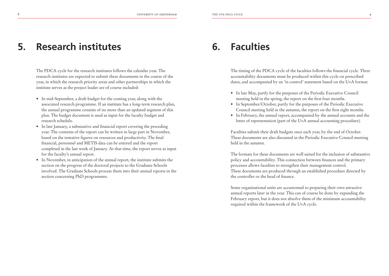#### **Research institutes 6. 5.**

The PDCA cycle for the research institutes follows the calendar year. The research institutes are expected to submit three documents in the course of the year, in which the research priority areas and other partnerships in which the institute serves as the project leader are of course included:

- In mid-September, a draft budget for the coming year, along with the associated research programme. If an institute has a long-term research plan, the annual programme consists of no more than an updated segment of this plan. The budget document is used as input for the faculty budget and research schedule.
- In late January, a substantive and financial report covering the preceding year. The contents of the report can be written in large part in November, based on the tentative figures on resources and productivity. The final financial, personnel and METIS data can be entered and the report completed in the last week of January. At that time, the report serves as input for the faculty's annual report.
- In November, in anticipation of the annual report, the institute submits the section on the progress of the doctoral projects to the Graduate Schools involved. The Graduate Schools process them into their annual reports in the section concerning PhD programmes.

### **Faculties**

The timing of the PDCA cycle of the faculties follows the financial cycle. Three accountability documents must be produced within this cycle on prescribed dates, and accompanied by an 'in control' statement based on the UvA format:

- In late May, partly for the purposes of the Periodic Executive Council meeting held in the spring, the report on the first four months.
- In September/October, partly for the purposes of the Periodic Executive Council meeting held in the autumn, the report on the first eight months.
- In February, the annual report, accompanied by the annual accounts and the letter of representation (part of the UvA annual accounting procedure).

Faculties submit their draft budgets once each year, by the end of October. These documents are also discussed in the Periodic Executive Council meeting held in the autumn.

The formats for these documents are well suited for the inclusion of substantive policy and accountability. This connection between finances and the primary processes allows faculties to strengthen their management control. These documents are produced through an established procedure directed by the controller or the head of finance.

Some organisational units are accustomed to preparing their own attractive annual reports later in the year. This can of course be done by expanding the February report, but it does not absolve them of the minimum accountability required within the framework of the UvA cycle.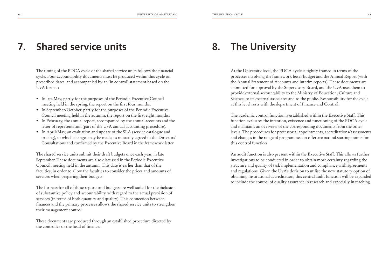#### **Shared service units 8. 7.**

The timing of the PDCA cycle of the shared service units follows the financial cycle. Four accountability documents must be produced within this cycle on prescribed dates, and accompanied by an 'in control' statement based on the UvA format:

- In late May, partly for the purposes of the Periodic Executive Council meeting held in the spring, the report on the first four months.
- In September/October, partly for the purposes of the Periodic Executive Council meeting held in the autumn, the report on the first eight months.
- In February, the annual report, accompanied by the annual accounts and the letter of representation (part of the UvA annual accounting procedure).
- In April/May, an evaluation and update of the SLA (service catalogue and pricing), in which changes may be made, as mutually agreed in the Directors' Consultations and confirmed by the Executive Board in the framework letter.

The shared service units submit their draft budgets once each year, in late September. These documents are also discussed in the Periodic Executive Council meeting held in the autumn. This date is earlier than that of the faculties, in order to allow the faculties to consider the prices and amounts of services when preparing their budgets.

The formats for all of these reports and budgets are well suited for the inclusion of substantive policy and accountability with regard to the actual provision of services (in terms of both quantity and quality). This connection between finances and the primary processes allows the shared service units to strengthen their management control.

These documents are produced through an established procedure directed by the controller or the head of finance.

### **The University**

At the University level, the PDCA cycle is tightly framed in terms of the processes involving the framework letter budget and the Annual Report (with the Annual Statement of Accounts and interim reports). These documents are submitted for approval by the Supervisory Board, and the UvA uses them to provide external accountability to the Ministry of Education, Culture and Science, to its external associates and to the public. Responsibility for the cycle at this level rests with the department of Finance and Control.

The academic control function is established within the Executive Staff. This function evaluates the intention, existence and functioning of the PDCA cycle and maintains an overview of the corresponding documents from the other levels. The procedures for professorial appointments, accreditations/assessments and changes in the range of programmes on offer are natural starting points for this control function.

An audit function is also present within the Executive Staff. This allows further investigations to be conducted in order to obtain more certainty regarding the structure and quality of task implementation and compliance with agreements and regulations. Given the UvA's decision to utilise the new statutory option of obtaining institutional accreditation, this central audit function will be expanded to include the control of quality assurance in research and especially in teaching.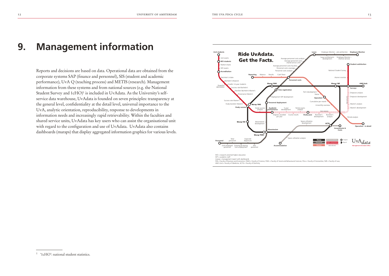## **9.** Management information  $\overline{\phantom{a}}$

Reports and decisions are based on data. Operational data are obtained from the corporate systems SAP (finance and personnel), SIS (student and academic performance), UvA Q (teaching process) and METIS (research). Management information from these systems and from national sources (e.g. the National Student Survey and 1cHO)1 is included in UvAdata. As the University's selfservice data warehouse, UvAdata is founded on seven principles: transparency at the general level, confidentiality at the detail level, universal importance to the UvA, analytic orientation, reproducibility, response to developments in information needs and increasingly rapid retrievability. Within the faculties and shared service units, UvAdata has key users who can assist the organisational unit with regard to the configuration and use of UvAdata. UvAdata also contains dashboards (maraps) that display aggregated information graphics for various levels.



<sup>1</sup> '1cHO': national student statistics.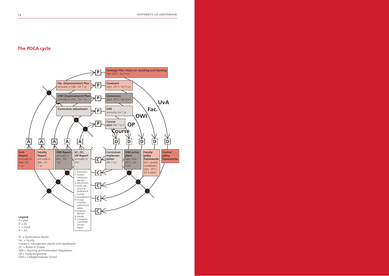### **The PDCA cycle**



*DP = Study programme* EC = Examinations Boar d  $Fac. = faculty$ maraps = management reports with dashboards OC = Board of Studies OER = Teaching and Examination Regulations OWI = Colle ge/Graduate School